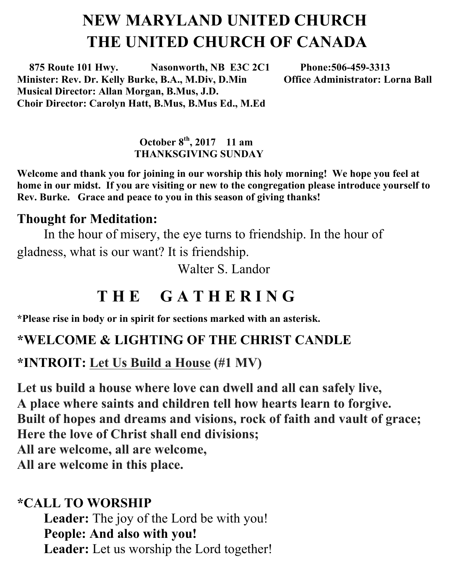# **NEW MARYLAND UNITED CHURCH THE UNITED CHURCH OF CANADA**

 **875 Route 101 Hwy. Nasonworth, NB E3C 2C1 Phone:506-459-3313 Minister: Rev. Dr. Kelly Burke, B.A., M.Div, D.Min Musical Director: Allan Morgan, B.Mus, J.D. Choir Director: Carolyn Hatt, B.Mus, B.Mus Ed., M.Ed**

#### **October 8th , 2017 11 am THANKSGIVING SUNDAY**

**Welcome and thank you for joining in our worship this holy morning! We hope you feel at home in our midst. If you are visiting or new to the congregation please introduce yourself to Rev. Burke. Grace and peace to you in this season of giving thanks!**

#### **Thought for Meditation:**

In the hour of misery, the eye turns to friendship. In the hour of gladness, what is our want? It is friendship.

Walter S. Landor

# **T H E G A T H E R I N G**

**\*Please rise in body or in spirit for sections marked with an asterisk.**

#### **\*WELCOME & LIGHTING OF THE CHRIST CANDLE**

**\*INTROIT: Let Us Build a House (#1 MV)**

**Let us build a house where love can dwell and all can safely live, A place where saints and children tell how hearts learn to forgive. Built of hopes and dreams and visions, rock of faith and vault of grace; Here the love of Christ shall end divisions; All are welcome, all are welcome, All are welcome in this place.**

#### **\*CALL TO WORSHIP**

**Leader:** The joy of the Lord be with you! **People: And also with you! Leader:** Let us worship the Lord together!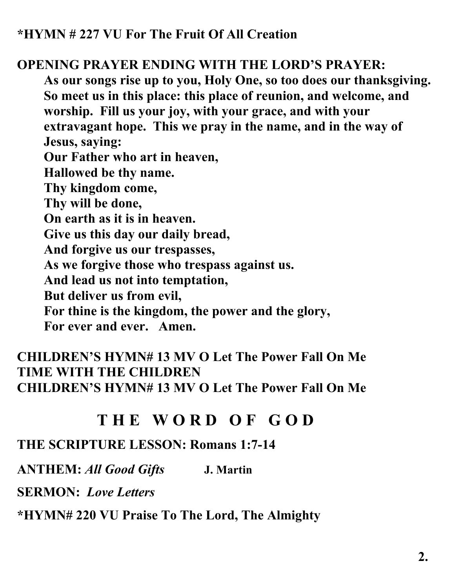#### **OPENING PRAYER ENDING WITH THE LORD'S PRAYER:**

**As our songs rise up to you, Holy One, so too does our thanksgiving. So meet us in this place: this place of reunion, and welcome, and worship. Fill us your joy, with your grace, and with your extravagant hope. This we pray in the name, and in the way of Jesus, saying: Our Father who art in heaven, Hallowed be thy name. Thy kingdom come, Thy will be done, On earth as it is in heaven. Give us this day our daily bread, And forgive us our trespasses, As we forgive those who trespass against us. And lead us not into temptation, But deliver us from evil,** 

**For thine is the kingdom, the power and the glory,** 

**For ever and ever. Amen.**

#### **CHILDREN'S HYMN# 13 MV O Let The Power Fall On Me TIME WITH THE CHILDREN CHILDREN'S HYMN# 13 MV O Let The Power Fall On Me**

## **T H E W O R D O F G O D**

#### **THE SCRIPTURE LESSON: Romans 1:7-14**

**ANTHEM:** *All Good Gifts* **J. Martin**

**SERMON:** *Love Letters*

**\*HYMN# 220 VU Praise To The Lord, The Almighty**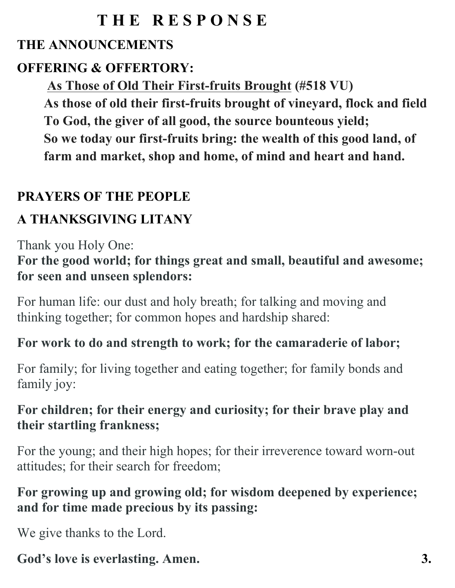## **T H E R E S P O N S E**

### **THE ANNOUNCEMENTS**

### **OFFERING & OFFERTORY:**

**As Those of Old Their First-fruits Brought (#518 VU)**

**As those of old their first-fruits brought of vineyard, flock and field To God, the giver of all good, the source bounteous yield; So we today our first-fruits bring: the wealth of this good land, of farm and market, shop and home, of mind and heart and hand.**

### **PRAYERS OF THE PEOPLE**

## **A THANKSGIVING LITANY**

Thank you Holy One:

**For the good world; for things great and small, beautiful and awesome; for seen and unseen splendors:**

For human life: our dust and holy breath; for talking and moving and thinking together; for common hopes and hardship shared:

### **For work to do and strength to work; for the camaraderie of labor;**

For family; for living together and eating together; for family bonds and family joy:

### **For children; for their energy and curiosity; for their brave play and their startling frankness;**

For the young; and their high hopes; for their irreverence toward worn-out attitudes; for their search for freedom;

### **For growing up and growing old; for wisdom deepened by experience; and for time made precious by its passing:**

We give thanks to the Lord.

# God's love is everlasting. Amen. 3.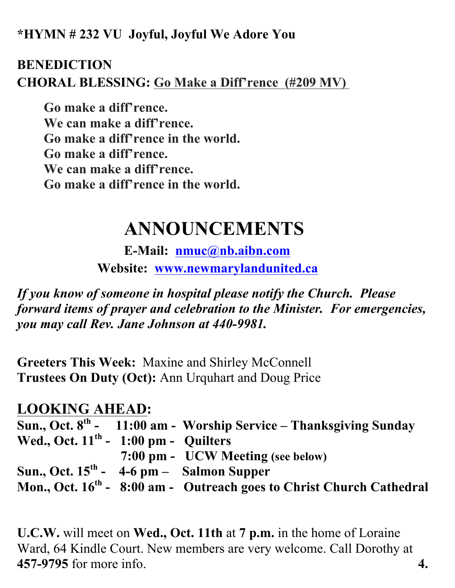**\*HYMN # 232 VU Joyful, Joyful We Adore You**

#### **BENEDICTION CHORAL BLESSING: Go Make a Diff'rence (#209 MV)**

**Go make a diff'rence. We can make a diff'rence. Go make a diff'rence in the world. Go make a diff'rence. We can make a diff'rence. Go make a diff'rence in the world.**

# **ANNOUNCEMENTS**

**E-Mail: nmuc@nb.aibn.com Website: www.newmarylandunited.ca**

*If you know of someone in hospital please notify the Church. Please forward items of prayer and celebration to the Minister. For emergencies, you may call Rev. Jane Johnson at 440-9981.*

**Greeters This Week:** Maxine and Shirley McConnell **Trustees On Duty (Oct):** Ann Urquhart and Doug Price

#### **LOOKING AHEAD:**

|                                            | Sun., Oct. $8th$ - 11:00 am - Worship Service – Thanksgiving Sunday              |
|--------------------------------------------|----------------------------------------------------------------------------------|
| Wed., Oct. $11th$ - 1:00 pm - Quilters     |                                                                                  |
|                                            | 7:00 pm - UCW Meeting (see below)                                                |
| Sun., Oct. $15th$ - 4-6 pm - Salmon Supper |                                                                                  |
|                                            | Mon., Oct. 16 <sup>th</sup> - 8:00 am - Outreach goes to Christ Church Cathedral |

**U.C.W.** will meet on **Wed., Oct. 11th** at **7 p.m.** in the home of Loraine Ward, 64 Kindle Court. New members are very welcome. Call Dorothy at **457-9795** for more info. **4.**